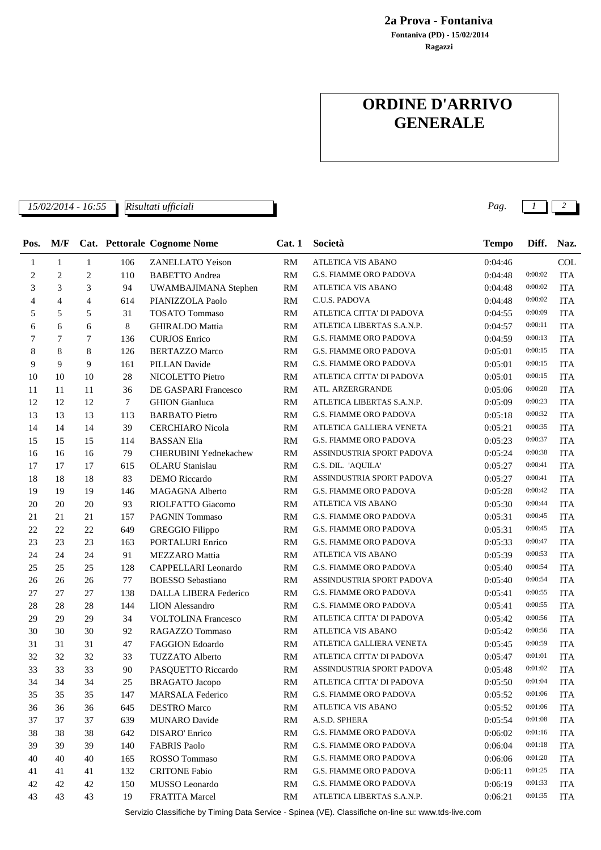**Ragazzi Fontaniva (PD) - 15/02/2014 2a Prova - Fontaniva**

## **ORDINE D'ARRIVO GENERALE**

*Risultati ufficiali*

*15/02/2014 - 16:55 Pag. 1 2*

| Pos. | M/F            |                |        | Cat. Pettorale Cognome Nome  | Cat.1     | Società                       | <b>Tempo</b> | Diff.   | Naz.       |
|------|----------------|----------------|--------|------------------------------|-----------|-------------------------------|--------------|---------|------------|
| 1    | $\mathbf{1}$   | $\mathbf{1}$   | 106    | <b>ZANELLATO Yeison</b>      | RM        | <b>ATLETICA VIS ABANO</b>     | 0:04:46      |         | COL        |
| 2    | $\overline{c}$ | $\overline{c}$ | 110    | <b>BABETTO</b> Andrea        | RM        | G.S. FIAMME ORO PADOVA        | 0:04:48      | 0:00:02 | <b>ITA</b> |
| 3    | 3              | 3              | 94     | UWAMBAJIMANA Stephen         | <b>RM</b> | ATLETICA VIS ABANO            | 0:04:48      | 0:00:02 | <b>ITA</b> |
| 4    | $\overline{4}$ | $\overline{4}$ | 614    | PIANIZZOLA Paolo             | RM        | C.U.S. PADOVA                 | 0:04:48      | 0:00:02 | <b>ITA</b> |
| 5    | 5              | 5              | 31     | <b>TOSATO Tommaso</b>        | RM        | ATLETICA CITTA' DI PADOVA     | 0:04:55      | 0:00:09 | <b>ITA</b> |
| 6    | 6              | 6              | 8      | <b>GHIRALDO</b> Mattia       | <b>RM</b> | ATLETICA LIBERTAS S.A.N.P.    | 0:04:57      | 0:00:11 | <b>ITA</b> |
| 7    | 7              | 7              | 136    | <b>CURJOS</b> Enrico         | <b>RM</b> | G.S. FIAMME ORO PADOVA        | 0:04:59      | 0:00:13 | <b>ITA</b> |
| 8    | 8              | 8              | 126    | <b>BERTAZZO Marco</b>        | <b>RM</b> | G.S. FIAMME ORO PADOVA        | 0:05:01      | 0:00:15 | <b>ITA</b> |
| 9    | 9              | 9              | 161    | <b>PILLAN Davide</b>         | RM        | G.S. FIAMME ORO PADOVA        | 0:05:01      | 0:00:15 | <b>ITA</b> |
| 10   | 10             | 10             | 28     | NICOLETTO Pietro             | <b>RM</b> | ATLETICA CITTA' DI PADOVA     | 0:05:01      | 0:00:15 | <b>ITA</b> |
| 11   | 11             | 11             | 36     | DE GASPARI Francesco         | <b>RM</b> | ATL. ARZERGRANDE              | 0:05:06      | 0:00:20 | <b>ITA</b> |
| 12   | 12             | 12             | $\tau$ | <b>GHION</b> Gianluca        | <b>RM</b> | ATLETICA LIBERTAS S.A.N.P.    | 0:05:09      | 0:00:23 | <b>ITA</b> |
| 13   | 13             | 13             | 113    | <b>BARBATO</b> Pietro        | <b>RM</b> | G.S. FIAMME ORO PADOVA        | 0:05:18      | 0:00:32 | <b>ITA</b> |
| 14   | 14             | 14             | 39     | <b>CERCHIARO</b> Nicola      | RM        | ATLETICA GALLIERA VENETA      | 0:05:21      | 0:00:35 | <b>ITA</b> |
| 15   | 15             | 15             | 114    | <b>BASSAN Elia</b>           | <b>RM</b> | <b>G.S. FIAMME ORO PADOVA</b> | 0:05:23      | 0:00:37 | <b>ITA</b> |
| 16   | 16             | 16             | 79     | <b>CHERUBINI Yednekachew</b> | <b>RM</b> | ASSINDUSTRIA SPORT PADOVA     | 0:05:24      | 0:00:38 | <b>ITA</b> |
| 17   | 17             | 17             | 615    | <b>OLARU</b> Stanislau       | RM        | G.S. DIL. 'AQUILA'            | 0:05:27      | 0:00:41 | <b>ITA</b> |
| 18   | 18             | 18             | 83     | <b>DEMO</b> Riccardo         | RM        | ASSINDUSTRIA SPORT PADOVA     | 0:05:27      | 0:00:41 | <b>ITA</b> |
| 19   | 19             | 19             | 146    | <b>MAGAGNA Alberto</b>       | RM        | <b>G.S. FIAMME ORO PADOVA</b> | 0:05:28      | 0:00:42 | <b>ITA</b> |
| 20   | 20             | 20             | 93     | RIOLFATTO Giacomo            | RM        | ATLETICA VIS ABANO            | 0:05:30      | 0:00:44 | <b>ITA</b> |
| 21   | 21             | 21             | 157    | <b>PAGNIN Tommaso</b>        | <b>RM</b> | G.S. FIAMME ORO PADOVA        | 0:05:31      | 0:00:45 | <b>ITA</b> |
| 22   | 22             | 22             | 649    | <b>GREGGIO Filippo</b>       | <b>RM</b> | G.S. FIAMME ORO PADOVA        | 0:05:31      | 0:00:45 | <b>ITA</b> |
| 23   | 23             | 23             | 163    | PORTALURI Enrico             | RM        | <b>G.S. FIAMME ORO PADOVA</b> | 0:05:33      | 0:00:47 | <b>ITA</b> |
| 24   | 24             | 24             | 91     | <b>MEZZARO</b> Mattia        | RM        | ATLETICA VIS ABANO            | 0:05:39      | 0:00:53 | <b>ITA</b> |
| 25   | 25             | 25             | 128    | CAPPELLARI Leonardo          | <b>RM</b> | G.S. FIAMME ORO PADOVA        | 0:05:40      | 0:00:54 | <b>ITA</b> |
| 26   | 26             | 26             | 77     | <b>BOESSO</b> Sebastiano     | RM        | ASSINDUSTRIA SPORT PADOVA     | 0:05:40      | 0:00:54 | <b>ITA</b> |
| 27   | 27             | 27             | 138    | <b>DALLA LIBERA Federico</b> | <b>RM</b> | G.S. FIAMME ORO PADOVA        | 0:05:41      | 0:00:55 | <b>ITA</b> |
| 28   | 28             | 28             | 144    | <b>LION</b> Alessandro       | RM        | G.S. FIAMME ORO PADOVA        | 0:05:41      | 0:00:55 | <b>ITA</b> |
| 29   | 29             | 29             | 34     | <b>VOLTOLINA Francesco</b>   | RM        | ATLETICA CITTA' DI PADOVA     | 0:05:42      | 0:00:56 | <b>ITA</b> |
| 30   | 30             | 30             | 92     | RAGAZZO Tommaso              | <b>RM</b> | ATLETICA VIS ABANO            | 0:05:42      | 0:00:56 | <b>ITA</b> |
| 31   | 31             | 31             | 47     | <b>FAGGION Edoardo</b>       | <b>RM</b> | ATLETICA GALLIERA VENETA      | 0:05:45      | 0:00:59 | <b>ITA</b> |
| 32   | 32             | 32             | 33     | <b>TUZZATO Alberto</b>       | RM        | ATLETICA CITTA' DI PADOVA     | 0:05:47      | 0:01:01 | <b>ITA</b> |
| 33   | 33             | 33             | 90     | PASQUETTO Riccardo           | <b>RM</b> | ASSINDUSTRIA SPORT PADOVA     | 0:05:48      | 0:01:02 | <b>ITA</b> |
| 34   | 34             | 34             | 25     | <b>BRAGATO</b> Jacopo        | RM        | ATLETICA CITTA' DI PADOVA     | 0:05:50      | 0:01:04 | <b>ITA</b> |
| 35   | 35             | 35             | 147    | MARSALA Federico             | <b>RM</b> | G.S. FIAMME ORO PADOVA        | 0:05:52      | 0:01:06 | ITA        |
| 36   | 36             | 36             | 645    | <b>DESTRO</b> Marco          | <b>RM</b> | ATLETICA VIS ABANO            | 0:05:52      | 0:01:06 | <b>ITA</b> |
| 37   | 37             | 37             | 639    | <b>MUNARO</b> Davide         | <b>RM</b> | A.S.D. SPHERA                 | 0:05:54      | 0:01:08 | ITA        |
| 38   | 38             | 38             | 642    | <b>DISARO'</b> Enrico        | <b>RM</b> | G.S. FIAMME ORO PADOVA        | 0:06:02      | 0:01:16 | <b>ITA</b> |
| 39   | 39             | 39             | 140    | <b>FABRIS Paolo</b>          | <b>RM</b> | G.S. FIAMME ORO PADOVA        | 0:06:04      | 0:01:18 | ITA        |
| 40   | 40             | 40             | 165    | ROSSO Tommaso                | <b>RM</b> | G.S. FIAMME ORO PADOVA        | 0:06:06      | 0:01:20 | <b>ITA</b> |
| 41   | 41             | 41             | 132    | <b>CRITONE Fabio</b>         | RM        | G.S. FIAMME ORO PADOVA        | 0:06:11      | 0:01:25 | <b>ITA</b> |
| 42   | 42             | 42             | 150    | MUSSO Leonardo               | <b>RM</b> | <b>G.S. FIAMME ORO PADOVA</b> | 0:06:19      | 0:01:33 | <b>ITA</b> |
| 43   | 43             | 43             | 19     | FRATITA Marcel               | <b>RM</b> | ATLETICA LIBERTAS S.A.N.P.    | 0:06:21      | 0:01:35 | ITA        |

Servizio Classifiche by Timing Data Service - Spinea (VE). Classifiche on-line su: www.tds-live.com